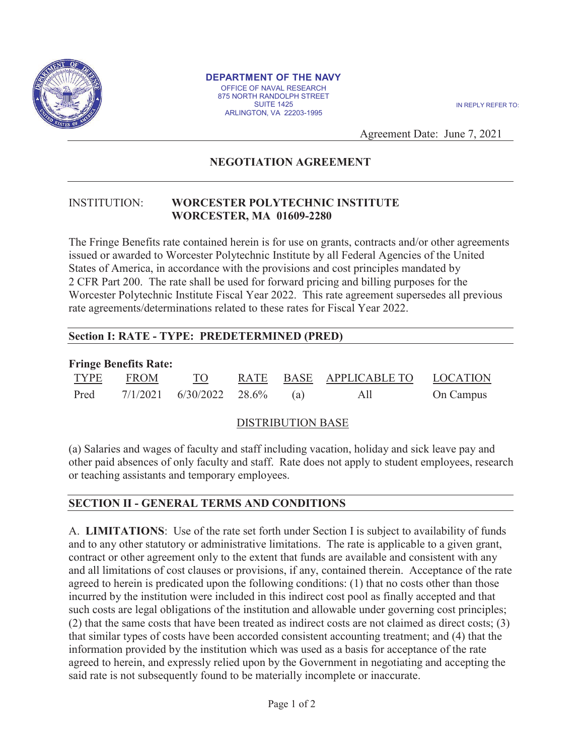

#### **DEPARTMENT OF THE NAVY**  OFFICE OF NAVAL RESEARCH 875 NORTH RANDOLPH STREET SUITE 1425 ARLINGTON, VA 22203-1995

IN REPLY REFER TO:

Agreement Date: June 7, 2021

# **NEGOTIATION AGREEMENT**

#### INSTITUTION: **WORCESTER POLYTECHNIC INSTITUTE WORCESTER, MA 01609-2280**

The Fringe Benefits rate contained herein is for use on grants, contracts and/or other agreements issued or awarded to Worcester Polytechnic Institute by all Federal Agencies of the United States of America, in accordance with the provisions and cost principles mandated by 2 CFR Part 200. The rate shall be used for forward pricing and billing purposes for the Worcester Polytechnic Institute Fiscal Year 2022. This rate agreement supersedes all previous rate agreements/determinations related to these rates for Fiscal Year 2022.

## **Section I: RATE - TYPE: PREDETERMINED (PRED)**

| <b>Fringe Benefits Rate:</b> |             |                                |  |  |                                  |           |
|------------------------------|-------------|--------------------------------|--|--|----------------------------------|-----------|
| TYPE                         | <b>EROM</b> | TO                             |  |  | RATE BASE APPLICABLE TO LOCATION |           |
| Pred                         |             | $7/1/2021$ 6/30/2022 28.6% (a) |  |  | All                              | On Campus |

### DISTRIBUTION BASE

(a) Salaries and wages of faculty and staff including vacation, holiday and sick leave pay and other paid absences of only faculty and staff. Rate does not apply to student employees, research or teaching assistants and temporary employees.

# **SECTION II - GENERAL TERMS AND CONDITIONS**

A. **LIMITATIONS**: Use of the rate set forth under Section I is subject to availability of funds and to any other statutory or administrative limitations. The rate is applicable to a given grant, contract or other agreement only to the extent that funds are available and consistent with any and all limitations of cost clauses or provisions, if any, contained therein. Acceptance of the rate agreed to herein is predicated upon the following conditions: (1) that no costs other than those incurred by the institution were included in this indirect cost pool as finally accepted and that such costs are legal obligations of the institution and allowable under governing cost principles; (2) that the same costs that have been treated as indirect costs are not claimed as direct costs; (3) that similar types of costs have been accorded consistent accounting treatment; and (4) that the information provided by the institution which was used as a basis for acceptance of the rate agreed to herein, and expressly relied upon by the Government in negotiating and accepting the said rate is not subsequently found to be materially incomplete or inaccurate.